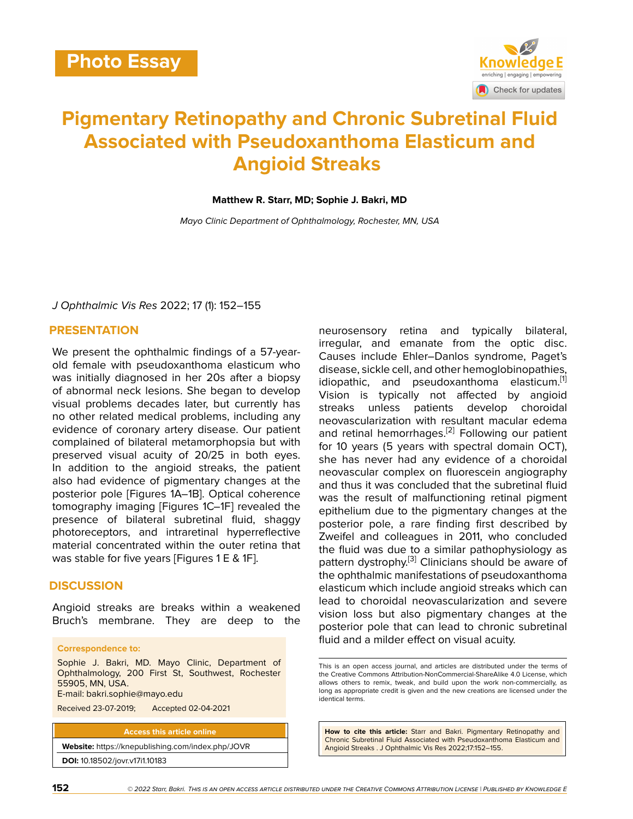

# **Pigmentary Retinopathy and Chronic Subretinal Fluid Associated with Pseudoxanthoma Elasticum and Angioid Streaks**

### **Matthew R. Starr, MD; Sophie J. Bakri, MD**

*Mayo Clinic Department of Ophthalmology, Rochester, MN, USA*

*J Ophthalmic Vis Res* 2022; 17 (1): 152–155

## **PRESENTATION**

We present the ophthalmic findings of a 57-yearold female with pseudoxanthoma elasticum who was initially diagnosed in her 20s after a biopsy of abnormal neck lesions. She began to develop visual problems decades later, but currently has no other related medical problems, including any evidence of coronary artery disease. Our patient complained of bilateral metamorphopsia but with preserved visual acuity of 20/25 in both eyes. In addition to the angioid streaks, the patient also had evidence of pigmentary changes at the posterior pole [Figures 1A–1B]. Optical coherence tomography imaging [Figures 1C–1F] revealed the presence of bilateral subretinal fluid, shaggy photoreceptors, and intraretinal hyperreflective material concentrated within the outer retina that was stable for five years [Figures 1 E & 1F].

## **DISCUSSION**

Angioid streaks are breaks within a weakened Bruch's membrane. They are deep to the

#### **Correspondence to:**

Sophie J. Bakri, MD. Mayo Clinic, Department of Ophthalmology, 200 First St, Southwest, Rochester 55905, MN, USA.

E-mail: bakri.sophie@mayo.edu

Received 23-07-2019; Accepted 02-04-2021

**Access this article online Website:** <https://knepublishing.com/index.php/JOVR>

**DOI:** 10.18502/jovr.v17i1.10183

neurosensory retina and typically bilateral, irregular, and emanate from the optic disc. Causes include Ehler–Danlos syndrome, Paget's disease, sickle cell, and other hemoglobinopathies, idiopathic, and pseudoxanthoma elasticum.<sup>[[1](#page-2-0)]</sup> Vision is typically not affected by angioid streaks unless patients develop choroidal neovascularization with resultant macular edema and retinal hemorrhages.<sup>[\[2\]](#page-2-1)</sup> Following our patient for 10 years (5 years with spectral domain OCT), she has never had any evidence of a choroidal neovascular complex on fluorescein angiography and thus it was concluded that the subretinal fluid was the result of malfunctioning retinal pigment epithelium due to the pigmentary changes at the posterior pole, a rare finding first described by Zweifel and colleagues in 2011, who concluded the fluid was due to a similar pathophysiology as pattern dystrophy.<sup>[[3\]](#page-2-2)</sup> Clinicians should be aware of the ophthalmic manifestations of pseudoxanthoma elasticum which include angioid streaks which can lead to choroidal neovascularization and severe vision loss but also pigmentary changes at the posterior pole that can lead to chronic subretinal fluid and a milder effect on visual acuity.

**How to cite this article:** Starr and Bakri. Pigmentary Retinopathy and Chronic Subretinal Fluid Associated with Pseudoxanthoma Elasticum and Angioid Streaks . J Ophthalmic Vis Res 2022;17:152–155.

This is an open access journal, and articles are distributed under the terms of the Creative Commons Attribution-NonCommercial-ShareAlike 4.0 License, which allows others to remix, tweak, and build upon the work non-commercially, as long as appropriate credit is given and the new creations are licensed under the identical terms.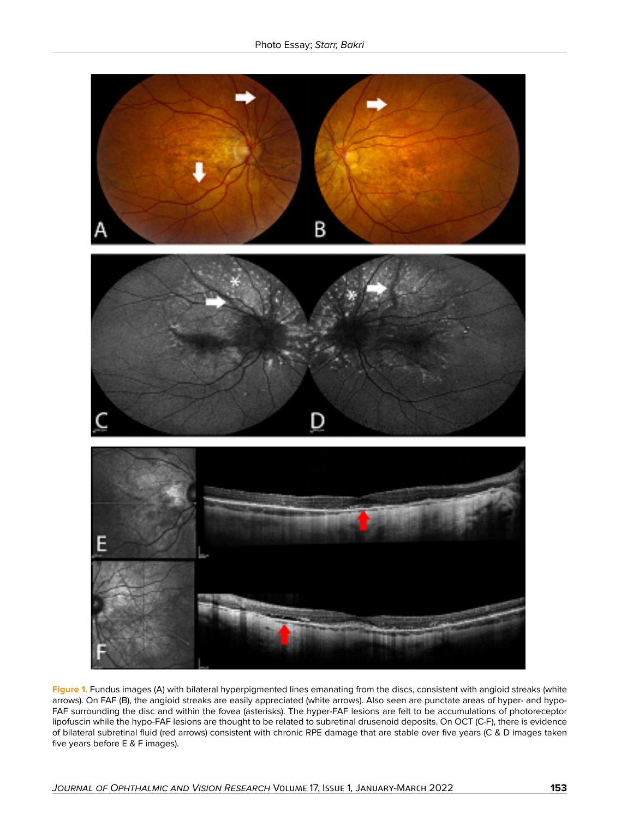

**Figure 1.** Fundus images (A) with bilateral hyperpigmented lines emanating from the discs, consistent with angioid streaks (white arrows). On FAF (B), the angioid streaks are easily appreciated (white arrows). Also seen are punctate areas of hyper- and hypo-FAF surrounding the disc and within the fovea (asterisks). The hyper-FAF lesions are felt to be accumulations of photoreceptor lipofuscin while the hypo-FAF lesions are thought to be related to subretinal drusenoid deposits. On OCT (C-F), there is evidence of bilateral subretinal fluid (red arrows) consistent with chronic RPE damage that are stable over five years (C & D images taken five years before E & F images).